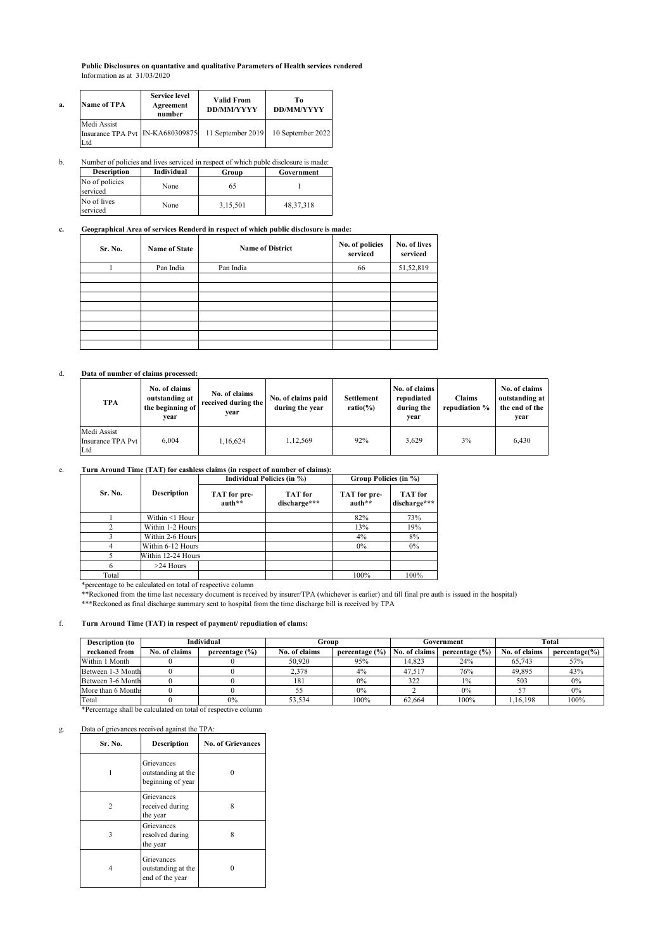**Public Disclosures on quantative and qualitative Parameters of Health services rendered** Information as at 31/03/2020

| a. | Name of TPA                                            | <b>Service level</b><br>Agreement<br>number | <b>Valid From</b><br><b>DD/MM/YYYY</b> | Tо<br><b>DD/MM/YYYY</b> |  |
|----|--------------------------------------------------------|---------------------------------------------|----------------------------------------|-------------------------|--|
|    | Medi Assist<br>Insurance TPA Pvt IN-KA680309875<br>Ltd |                                             | 11 September 2019                      | 10 September 2022       |  |

b. Number of policies and lives serviced in respect of which publc disclosure is made:

| <b>Description</b>         | Individual | Group    | Government  |
|----------------------------|------------|----------|-------------|
| No of policies<br>serviced | None       |          |             |
| No of lives<br>serviced    | None       | 3.15.501 | 48, 37, 318 |

## **c. Geographical Area of services Renderd in respect of which public disclosure is made:**

| Sr. No. | <b>Name of State</b> | <b>Name of District</b> | No. of policies<br>serviced | No. of lives<br>serviced |
|---------|----------------------|-------------------------|-----------------------------|--------------------------|
|         | Pan India            | Pan India               | 66                          | 51,52,819                |
|         |                      |                         |                             |                          |
|         |                      |                         |                             |                          |
|         |                      |                         |                             |                          |
|         |                      |                         |                             |                          |
|         |                      |                         |                             |                          |
|         |                      |                         |                             |                          |
|         |                      |                         |                             |                          |

### d. **Data of number of claims processed:**

| <b>TPA</b>                              | No. of claims<br>outstanding at<br>the beginning of<br>vear | No. of claims<br>received during the<br>vear | No. of claims paid<br>during the year | Settlement<br>$ratio(\%)$ | No. of claims<br>repudiated<br>during the<br>vear | Claims<br>repudiation % | No. of claims<br>outstanding at<br>the end of the<br>vear |
|-----------------------------------------|-------------------------------------------------------------|----------------------------------------------|---------------------------------------|---------------------------|---------------------------------------------------|-------------------------|-----------------------------------------------------------|
| Medi Assist<br>Insurance TPA Pvt<br>Ltd | 6.004                                                       | 1.16.624                                     | 1.12.569                              | 92%                       | 3,629                                             | 3%                      | 6.430                                                     |

# e. **Turn Around Time (TAT) for cashless claims (in respect of number of claims):**

|         |                    |                        | Individual Policies (in %) | Group Policies (in %)  |                                |  |
|---------|--------------------|------------------------|----------------------------|------------------------|--------------------------------|--|
| Sr. No. | Description        | TAT for pre-<br>auth** | TAT for<br>discharge***    | TAT for pre-<br>auth** | <b>TAT</b> for<br>discharge*** |  |
|         | Within <1 Hour     |                        |                            | 82%                    | 73%                            |  |
|         | Within 1-2 Hours   |                        |                            | 13%                    | 19%                            |  |
|         | Within 2-6 Hours   |                        |                            | 4%                     | 8%                             |  |
|         | Within 6-12 Hours  |                        |                            | $0\%$                  | 0%                             |  |
|         | Within 12-24 Hours |                        |                            |                        |                                |  |
|         | $>24$ Hours        |                        |                            |                        |                                |  |
| Total   |                    |                        |                            | 100%                   | 100%                           |  |

\*percentage to be calculated on total of respective column

\*\*Reckoned from the time last necessary document is received by insurer/TPA (whichever is earlier) and till final pre auth is issued in the hospital) \*\*\*Reckoned as final discharge summary sent to hospital from the time discharge bill is received by TPA

## f. **Turn Around Time (TAT) in respect of payment/ repudiation of clams:**

| <b>Description</b> (to | Individual    |                    | Group         |                    | Government    |                    | <b>Total</b>  |                  |
|------------------------|---------------|--------------------|---------------|--------------------|---------------|--------------------|---------------|------------------|
| reckoned from          | No. of claims | percentage $(\% )$ | No. of claims | percentage $(\% )$ | No. of claims | percentage $(\% )$ | No. of claims | $percentage(\%)$ |
| Within 1 Month         |               |                    | 50.920        | 95%                | 14.823        | 24%                | 65,743        | 57%              |
| Between 1-3 Month      |               |                    | 2.378         | 4%                 | 47.517        | 76%                | 49.895        | 43%              |
| Between 3-6 Month      |               |                    | 181           | 0%                 | 322           | $1\%$              | 503           | 0%               |
| More than 6 Months     |               |                    |               | 0%                 |               | 0%                 |               | 0%               |
| Total                  |               | $0\%$              | 53.534        | 100%               | 62.664        | 100%               | .16.198       | 100%             |

\*Percentage shall be calculated on total of respective column

#### g. Data of grievances received against the TPA:

| Sr. No. | Description                                           | <b>No. of Grievances</b> |
|---------|-------------------------------------------------------|--------------------------|
|         | Grievances<br>outstanding at the<br>beginning of year |                          |
|         | Grievances<br>received during<br>the year             | 8                        |
| ٦       | Grievances<br>resolved during<br>the year             | 8                        |
|         | Grievances<br>outstanding at the<br>end of the year   |                          |